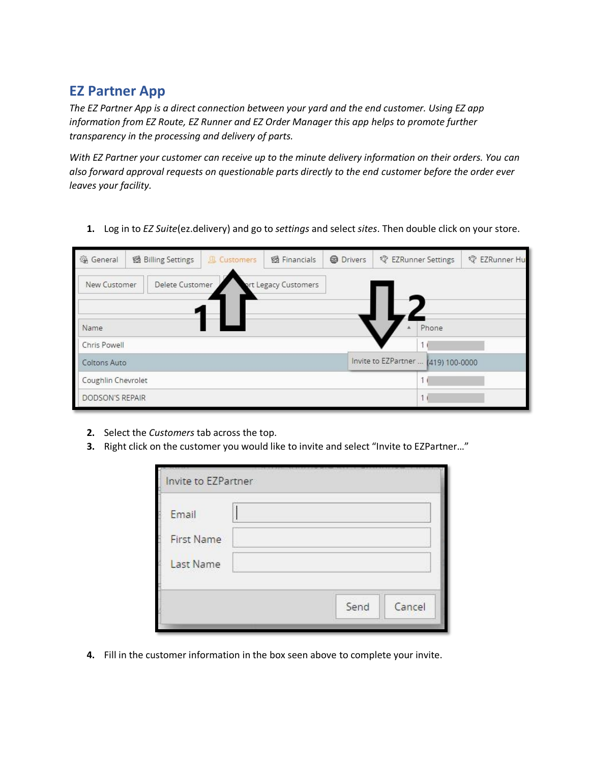## **EZ Partner App**

*The EZ Partner App is a direct connection between your yard and the end customer. Using EZ app information from EZ Route, EZ Runner and EZ Order Manager this app helps to promote further transparency in the processing and delivery of parts.* 

*With EZ Partner your customer can receive up to the minute delivery information on their orders. You can also forward approval requests on questionable parts directly to the end customer before the order ever leaves your facility.*

**1.** Log in to *EZ Suite*(ez.delivery) and go to *settings* and select *sites*. Then double click on your store.

| <b>卷 General</b>    | 图 Billing Settings | <b>A</b> Customers | <b>图 Financials</b> | <b>@</b> Drivers | 零 EZRunner Settings                 | <sup>&lt;&gt; </sup> EZRunner Hul |
|---------------------|--------------------|--------------------|---------------------|------------------|-------------------------------------|-----------------------------------|
| New Customer        | Delete Customer    |                    | t Legacy Customers  |                  |                                     |                                   |
| Name                |                    |                    |                     |                  | Phone                               |                                   |
| Chris Powell        |                    |                    |                     |                  |                                     |                                   |
| <b>Coltons Auto</b> |                    |                    |                     |                  | Invite to EZPartner  (419) 100-0000 |                                   |
| Coughlin Chevrolet  |                    |                    |                     |                  |                                     |                                   |
| DODSON'S REPAIR     |                    |                    |                     |                  |                                     |                                   |

- **2.** Select the *Customers* tab across the top.
- **3.** Right click on the customer you would like to invite and select "Invite to EZPartner…"

| Email             |  |
|-------------------|--|
| <b>First Name</b> |  |
|                   |  |
| Last Name         |  |
|                   |  |
|                   |  |

**4.** Fill in the customer information in the box seen above to complete your invite.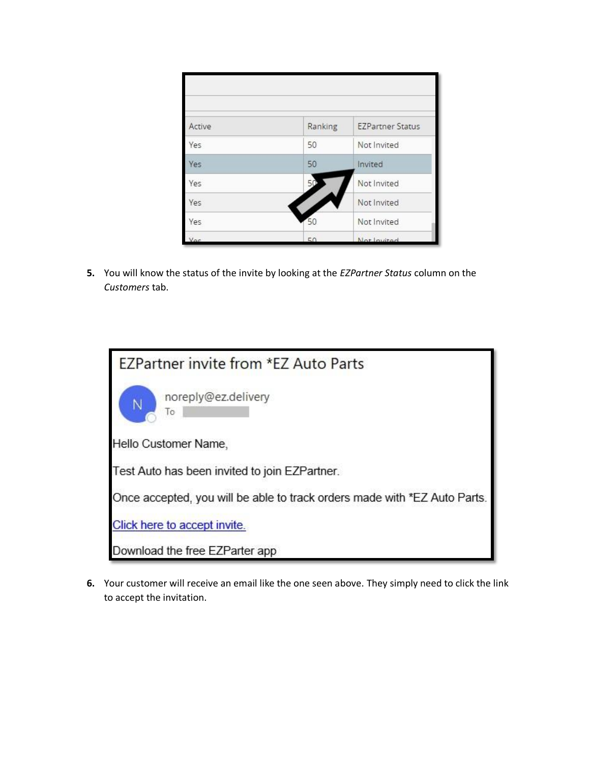| Active | Ranking | <b>EZPartner Status</b> |
|--------|---------|-------------------------|
| Yes    | 50      | Not Invited             |
| Yes    | 50      | Invited                 |
| Yes    | 50      | Not Invited             |
| Yes    |         | Not Invited             |
| Yes    | 50      | Not Invited             |
|        | 50      | Not Invited             |

**5.** You will know the status of the invite by looking at the *EZPartner Status* column on the *Customers* tab.

| EZPartner invite from *EZ Auto Parts                                      |
|---------------------------------------------------------------------------|
| noreply@ez.delivery<br>Ñ<br>To                                            |
| Hello Customer Name,                                                      |
| Test Auto has been invited to join EZPartner.                             |
| Once accepted, you will be able to track orders made with *EZ Auto Parts. |
| Click here to accept invite.                                              |
| Download the free EZParter app                                            |

**6.** Your customer will receive an email like the one seen above. They simply need to click the link to accept the invitation.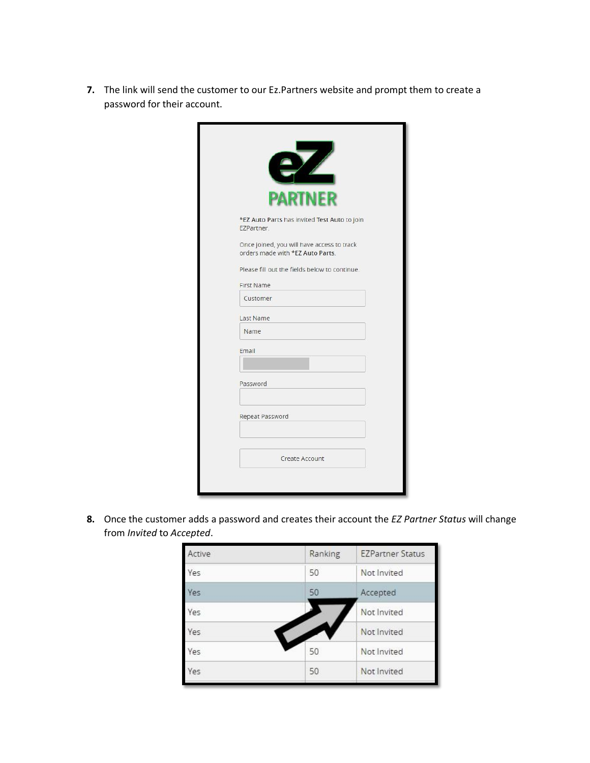**7.** The link will send the customer to our Ez.Partners website and prompt them to create a password for their account.

| <b>PARTNER</b>                                                                 |
|--------------------------------------------------------------------------------|
| *EZ Auto Parts has invited Test Auto to join<br>EZPartner.                     |
| Once joined, you will have access to track<br>orders made with *EZ Auto Parts. |
| Please fill out the fields below to continue.                                  |
| <b>First Name</b>                                                              |
| Customer                                                                       |
| Last Name                                                                      |
| Name                                                                           |
| Email                                                                          |
|                                                                                |
| Password                                                                       |
| Repeat Password                                                                |
|                                                                                |
| Create Account                                                                 |

**8.** Once the customer adds a password and creates their account the *EZ Partner Status* will change from *Invited* to *Accepted*.

| Active | Ranking | <b>EZPartner Status</b> |
|--------|---------|-------------------------|
| Yes    | 50      | Not Invited             |
| Yes    | 50      | Accepted                |
| Yes    |         | Not Invited             |
| Yes    |         | Not Invited             |
| Yes    | 50      | Not Invited             |
| Yes    | 50      | Not Invited             |